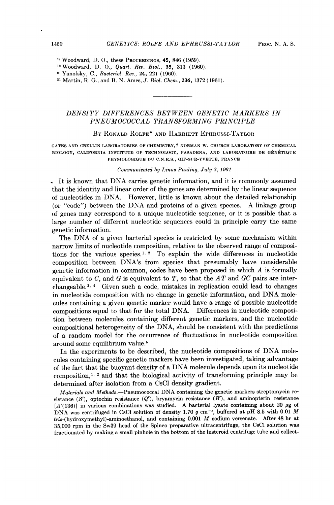<sup>18</sup> Woodward, D. O., these PROCEEDINGS, 45, 846 (1959).

<sup>19</sup> Woodward, D. O., Quart. Rev. Biol., 35, 313 (1960).

<sup>21</sup> Martin, R. G., and B. N. Ames, J. Biol. Chem., 236, 1372 (1961).

# DENSITY DIFFERENCES BETWEEN GENETIC MARKERS IN PNEUMOCOCCAL TRANSFORMING PRINCIPLE

## BY RONALD ROLFE\* AND HARRIETT EPHRUSSI-TAYLOR

GATES AND CRELLIN LABORATORIES OF CHEMISTRY, YNORMAN W. CHURCH LABORATORY OF CHEMICAL BIOLOGY, CALIFORNIA INSTITUTE OF TECHNOLOGY, PASADENA, AND LABORATOIRE DE GÉNÉTIQUE PHYSIOLOGIQUE DU C.N.R.S., GIF-SUR-YVETTE, FRANCE

#### Communicated by Linus Pauling, July 3, 1961

It is known that DNA carries genetic information, and it is commonly assumed that the identity and linear order of the genes are determined by the linear sequence of nucleotides in DNA. However, little is known about the detailed relationship (or "code") between the DNA and proteins of <sup>a</sup> given species. A linkage group of genes may correspond to a unique nucleotide sequence, or it is possible that a large number of different nucleotide sequences could in principle carry the same genetic information.

The DNA of <sup>a</sup> given bacterial species is restricted by some mechanism within narrow limits of nucleotide composition, relative to the observed range of compositions for the various species.<sup>1, 2</sup> To explain the wide differences in nucleotide composition between DNA's from species that presumably have considerable genetic information in common, codes have been proposed in which  $A$  is formally equivalent to C, and G is equivalent to T, so that the AT and GC pairs are interchangeable.<sup>3, 4</sup> Given such a code, mistakes in replication could lead to changes in nucleotide composition with no change in genetic information, and DNA molecules containing a given genetic marker would have a range of possible nucleotide compositions equal to that for the total DNA. Differences in nucleotide composition between molecules containing different genetic markers, and the nucleotide compositional heterogeneity of the DNA, should be consistent with the predictions of a random model for the occurrence of fluctuations in nucleotide composition around some equilibrium value.5

In the experiments to be described, the nucleotide compositions of DNA molecules containing specific genetic markers have been investigated, taking advantage of the fact that the buoyant density of <sup>a</sup> DNA molecule depends upon its nucleotide composition,<sup>1, 2</sup> and that the biological activity of transforming principle may be determined after isolation from a CsCl density gradient.

Materials and Methods.-Pneumococcal DNA containing the genetic markers streptomycin resistance  $(S')$ , optochin resistance  $(Q')$ , bryamycin resistance  $(B')$ , and aminopterin resistance  $[A'(136)]$  in various combinations was studied. A bacterial lysate containing about 20  $\mu$ g of DNA was centrifuged in CsCl solution of density 1.70 g cm<sup>-3</sup>, buffered at pH 8.5 with 0.01 M tris-(hydroxymethyl)-aminoethanol, and containing 0.001 M sodium versenate. After <sup>48</sup> hr at 35,000 rpm in the Sw39 head of the Spinco preparative ultracentrifuge, the CsCl solution was fractionated by making a small pinhole in the bottom of the lusteroid centrifuge tube and collect-

<sup>20</sup> Yanofsky, C., Bacteriol. Rev., 24, 221 (1960).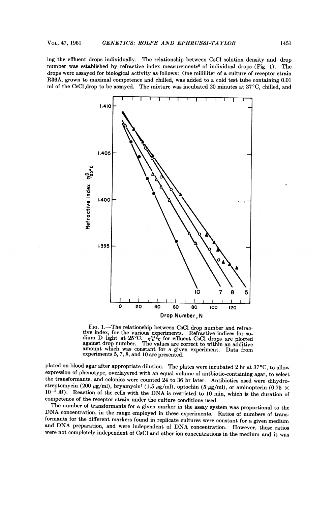ing the effluent drops individually. The relationship between CsCl solution density and drop number was established by refractive index measurements<sup>6</sup> of individual drops (Fig. 1). The drops were assayed for biological activity as follows: One milliliter of <sup>a</sup> culture of receptor strain R36A, grown to maximal competence and chilled, was added to <sup>a</sup> cold test tube containing 0.01 ml of the CsCl drop to be assayed. The mixture was incubated 20 minutes at 37°C, chilled, and



FIG. 1.—The relationship between CsCl drop number and refrac-<br>tive index, for the various experiments. Refractive indices for sodium D light at  $25^{\circ}\text{C}$ .  $\eta_{15}^{25}$  for effluent CsCl drops are plotted against drop number. The values are correct to within an additive amount which was constant for <sup>a</sup> given experiment. Data from experiments 5, 7, 8, and <sup>10</sup> are presented.

plated on blood agar after appropriate dilution. The plates were incubated 2 hr at  $37^{\circ}\text{C}$ , to allow expression of phenotype, overlayered with an equal volume of antbiotic-containing agar, to select the transformants, and colonies were counted 24 to 36 hr later. Antibiotics used were dihydro streptomycin (200  $\mu$ g/ml), bryamycin<sup>7</sup> (1.5  $\mu$ g/ml), optochin (5  $\mu$ g/ml), or aminopterin (0.75  $\times$  $10^{-5}$  M). Reaction of the cells with the DNA is restricted to 10 min, which is the duration of competence of the receptor strain under the culture conditions used.

The number of transformants for <sup>a</sup> given marker in the assay system was proportional to the DNA concentration, in the range employed in these experiments. Ratios of numbers of transformants for the different markers found in replicate cultures were constant for <sup>a</sup> given medium and DNA preparation, and were independent of DNA concentration. However, these ratios were not completely independent of CsQl and other ion concentrations in the medium and it was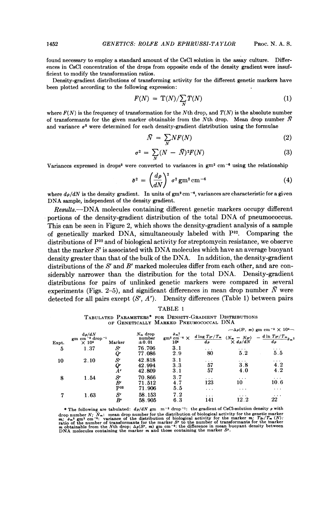found necessary to employ a standard amount of the CsCl solution in the assay culture. Differences in CsCl concentration of the drops from opposite ends of the density gradient were insufficient to modify the transformation ratios.

Density-gradient distributions of transforming activity for the different genetic markers have been plotted according to the following expression:

$$
F(N) = \mathrm{T}(N)/\sum_{N} T(N) \tag{1}
$$

where  $F(N)$  is the frequency of transformation for the Nth drop, and  $T(N)$  is the absolute number of transformants for the given marker obtainable from the Nth drop. Mean drop number  $\bar{N}$ and variance  $\sigma^2$  were determined for each density-gradient distribution using the formulae

$$
\bar{N} = \sum_{N} N F(N) \tag{2}
$$

$$
\sigma^2 = \sum_N (N - \bar{N})^2 F(N) \tag{3}
$$

Variances expressed in drops<sup>2</sup> were converted to variances in  $gm^2$  cm<sup>-6</sup> using the relationship

$$
\bar{\sigma}^2 = \left(\frac{d\rho}{dN}\right)^2 \sigma^2 \, \text{gm}^2 \, \text{cm}^{-6} \tag{4}
$$

where  $d\rho/dN$  is the density gradient. In units of gm<sup>2</sup> cm<sup>-6</sup>, variances are characteristic for a given DNA sample, independent of the density gradient.

Results.-DNA molecules containing different genetic markers occupy different portions of the density-gradient distribution of the total DNA of pneumococcus. This can be seen in Figure 2, which shows the density-gradient analysis of a sample of genetically marked DNA, simultaneously labeled with  $P^{32}$ . Comparing the distributions of  $P^{32}$  and of biological activity for streptomycin resistance, we observe that the marker  $S<sup>r</sup>$  is associated with DNA molecules which have an average buoyant density greater than that of the bulk of the DNA. In addition, the density-gradient distributions of the S<sup>t</sup> and B<sup>t</sup> marked molecules differ from each other, and are considerably narrower than the distribution for the total DNA. Density-gradient distributions for pairs of unlinked genetic markers were compared in several experiments (Figs. 2-5), and significant differences in mean drop number  $\bar{N}$  were detected for all pairs except  $(S^r, A^r)$ . Density differences (Table 1) between pairs

| r.<br>г<br>v. |  |
|---------------|--|
|---------------|--|

TABULATED PARAMETERS\* FOR DENSITY-GRADIENT D)ISTRIBUTIONS

|       |                                                                                                |                                   |                                    | OF GENETICALLY MARKED PNEUMOCOCCAL DNA                                         |                                     |                                                                     |                                                                                                                                 |
|-------|------------------------------------------------------------------------------------------------|-----------------------------------|------------------------------------|--------------------------------------------------------------------------------|-------------------------------------|---------------------------------------------------------------------|---------------------------------------------------------------------------------------------------------------------------------|
|       |                                                                                                |                                   |                                    |                                                                                |                                     | $-\Delta \rho(S^r, m)$ gm cm <sup>-3</sup> $\times$ 10 <sup>4</sup> |                                                                                                                                 |
| Expt. | $d\rho/dN$<br>gm cm <sup><math>-3</math></sup> drop <sup><math>-1</math></sup><br>$\times 103$ | Marker                            | $N_m$ drop<br>number<br>$\pm 0.01$ | $gm^2 \cdot \frac{\tilde{\sigma} m^2}{cm^2} \approx \times$<br>10 <sup>6</sup> |                                     |                                                                     | $\frac{d \log T_{S^r}/T_m}{d\rho} \frac{(N_m - N_{S^r})}{\times d\rho/dN} - \frac{d \ln T_{S^r}/T_m}{d\rho} \tilde{\sigma}_m^2$ |
| 5     | 1.37                                                                                           | $S^r$<br>Qr                       | 76.706<br>77.086                   | 3.1<br>2.9                                                                     | $\cdots$<br>80                      | $\cdots$<br>5.2                                                     | $\cdots$<br>5.5                                                                                                                 |
| 10    | 2.10                                                                                           | $S^r$<br>$\frac{Q^r}{A^r}$        | 42.818<br>42.994<br>42.809         | 3.1<br>3.3<br>3.1                                                              | $\cdots$<br>57<br>57                | $\cdots$<br>3.8<br>4.0                                              | $\cdots$<br>4.2<br>4.2                                                                                                          |
| 8     | 1.54                                                                                           | $S^r$<br>$B^r$<br>P <sub>32</sub> | 70.866<br>71.512<br>71.906         | 3.7<br>4.7<br>5.5                                                              | $\cdot$ $\cdot$ $\cdot$<br>123<br>. | $\cdots$<br>10<br>$\cdots$                                          | $\cdots$<br>10.6<br>$\cdots$                                                                                                    |
|       | 1.63                                                                                           | $S^r$<br>Br                       | 58.153<br>58.905                   | 7.2<br>63                                                                      | $\cdots$<br>141                     | $\cdots$<br>12.2                                                    | $\cdots$<br>22                                                                                                                  |

\* The following are tabulated:  $d\rho/dN$  gm  $m^{-3}$  drop<sup>-1</sup>: the gradient of CsCl-solution density  $\rho$  with drop number  $N$ ;  $\overline{N}_m$ : mean drop number for the distribution of biological activity for the genetic marker  $m$ ;  $\overline{\sigma}_m$ <sup>2</sup> gm<sup>2</sup> cm<sup>-6</sup>: variance of the distribution of biological activity for the marker  $m$ ;  $T_{8r$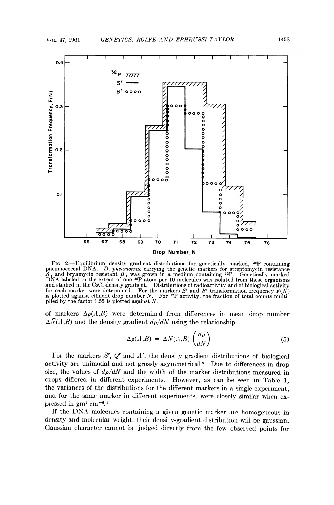

FIG. 2.-Equilibrium density gradient distributions for genetically marked, <sup>32</sup>P containing pneumococcal DNA. D. pneumoniae carrying the genetic markers for streptomycin resistance  $S<sup>r</sup>$ , and bryannycin resistant  $B<sup>r</sup>$ , was grown in a medium containing 3P. Genetically marked DNA labeled to the extent of one  $32P$  atom per 10 molecules was isolated from these organisms and studied in the CsCl density gradient. Distributions of radioactivity and of biological activity for each marker were determined. For the markers  $S<sup>r</sup>$  and  $B<sup>r</sup>$  transformation frequency  $F(N)$ is plotted against effluent drop number  $N$ . For  $^{32}P$  activity, the fraction of total counts multiplied by the factor 1.55 is plotted against N.

of markers  $\Delta \rho(A, B)$  were determined from differences in mean drop number  $\Delta \bar{N}(A ,B)$  and the density gradient  $d\rho/dN$  using the relationship

$$
\Delta \rho(A,B) = \Delta N(A,B) \left( \frac{d\rho}{dN} \right) \tag{5}
$$

For the markers S', Q' and A', the density gradient distributions of biological activity are unimodal and not grossly asymmetrical.<sup>8</sup> Due to differences in drop size, the values of  $d\rho/dN$  and the width of the marker distributions measured in drops differed in different experiments. However, as can be seen in Table 1, the variances of the distributions for the different markers in a single experiment, and for the same marker in different experiments, were closely similar when expressed in  $gm^2 cm^{-6.9}$ 

If the DNA molecules containing a given genetic marker are homogeneous in density and molecular weight, their density-gradient distribution will be gaussian. Gaussian character cannot be judged directly from the few observed points for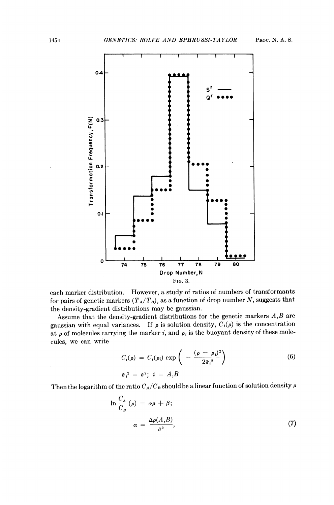

each marker distribution. However, a study of ratios of numbers of transformants for pairs of genetic markers  $(T_A/T_B)$ , as a function of drop number N, suggests that the density-gradient distributions may be gaussian.

Assume that the density-gradient distributions for the genetic markers  $A,B$  are gaussian with equal variances. If  $\rho$  is solution density,  $C_i(\rho)$  is the concentration at  $\rho$  of molecules carrying the marker i, and  $\rho_i$  is the buoyant density of these molecules, we can write

$$
C_i(\rho) = C_i(\rho_i) \exp\left(-\frac{(\rho - \rho_i)^2}{2\bar{\sigma_i}^2}\right)
$$
\n
$$
\bar{\sigma_i}^2 = \bar{\sigma}^2; \quad i = A, B
$$
\n(6)

Then the logarithm of the ratio  $C_A/C_B$  should be a linear function of solution density  $\rho$ 

$$
\ln \frac{C_A}{C_B} (\rho) = \alpha \rho + \beta;
$$
  

$$
\alpha = \frac{\Delta \rho(A, B)}{\bar{\sigma}^2}, \tag{7}
$$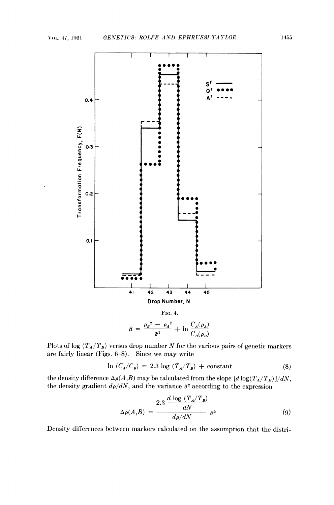

Plots of log  $(T_A/T_B)$  versus drop number N for the various pairs of genetic markers are fairly linear (Figs. 6-8). Since we may write

$$
\ln (C_A/C_B) = 2.3 \log (T_A/T_B) + \text{constant}
$$
 (8)

the density difference  $\Delta \rho(A, B)$  may be calculated from the slope  $[d \log(T_A/T_B)]/dN$ , the density gradient  $d\rho/dN$ , and the variance  $\bar{\sigma}^2$  according to the expression

$$
\Delta \rho(A,B) = \frac{2.3 \frac{d \log (T_A/T_B)}{dN}}{d\rho/dN} \,\,\bar{\sigma}^2 \tag{9}
$$

Density differences between markers calculated on the assumption that the distri-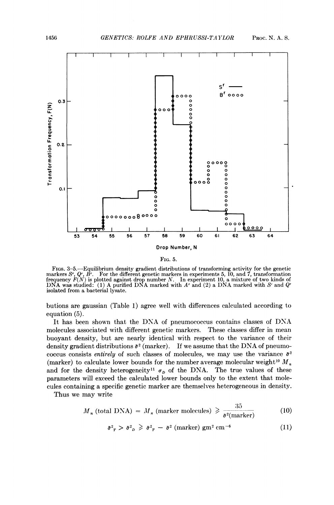

FIG. 5.

FIGS. 3-5.-Equilibrium density gradient distributions of transforming activity for the genetic markers  $S<sup>r</sup>$ ,  $Q<sup>r</sup>$ ,  $B<sup>r</sup>$ . For the different genetic markers in experiments 5, 10, and 7, transformation frequency  $F(N)$  is plotted against drop number N. In experiment 10, a mixture of two kinds of DNA was studied: (1) A purified DNA marked with  $A<sup>r</sup>$  and  $Q<sup>r</sup>$ isolated from a bacterial lysate.

butions are gaussian (Table 1) agree well with differences calculated according to equation (5).

It has been shown that the DNA of pneumococcus contains classes of DNA molecules associated with different genetic markers. These classes differ in mean buoyant density, but are nearly identical with respect to the variance of their density gradient distributions  $\bar{\sigma}^2$  (marker). If we assume that the DNA of pneumococcus consists entirely of such classes of molecules, we may use the variance  $\bar{\sigma}^2$ (marker) to calculate lower bounds for the number average molecular weight<sup>10</sup>  $M_n$ and for the density heterogeneity<sup>11</sup>  $\sigma_D$  of the DNA. The true values of these parameters will exceed the calculated lower bounds only to the extent that molecules containing a specific genetic marker are themselves heterogeneous in density.

Thus we may write

$$
M_n \text{ (total DNA)} = M_n \text{ (market molecules)} \geqslant \frac{35}{\sigma^2 \text{(marker)}}
$$
 (10)

$$
\bar{\sigma}^2_{\ \,T} > \bar{\sigma}^2_{\ \,D} \geqslant \bar{\sigma}^2_{\ \,T} \ -\ \bar{\sigma}^2 \ \text{(marker)} \ \text{gm}^2 \ \text{cm}^{-6} \tag{11}
$$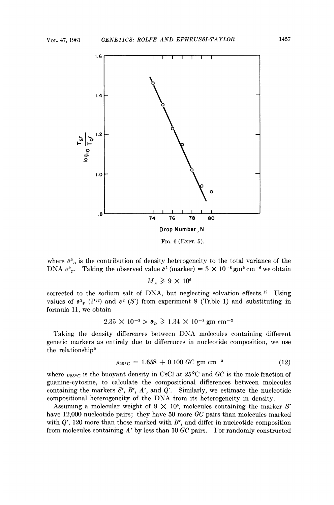

where  $\bar{\sigma}^2$  is the contribution of density heterogeneity to the total variance of the where  $\bar{\sigma}^2$ <sub>*p*</sub> is the contribution of density heterogeneity to the total variance of the DNA  $\bar{\sigma}^2$ <sub>*r*</sub>. Taking the observed value  $\bar{\sigma}^2$  (marker) = 3 × 10<sup>-6</sup> gm<sup>2</sup> cm<sup>-6</sup> we obtain

 $M<sub>n</sub> \geq 9 \times 10^6$ 

corrected to the sodium salt of DNA, but neglecting solvation effects.<sup>12</sup> Using values of  $\bar{\sigma}^2$  (P<sub>32</sub>) and  $\bar{\sigma}^2$  (S<sup>t</sup>) from experiment 8 (Table 1) and substituting in formula 11, we obtain

$$
2.35 \times 10^{-3} > \bar{\sigma}_D \ge 1.34 \times 10^{-3} \text{ gm cm}^{-3}
$$

Taking the density differences between DNA molecules containing different genetic markers as entirely due to differences in nucleotide composition, we use the relationship2

$$
\rho_{25\degree C} = 1.658 + 0.100 \; \text{GC} \; \text{gm} \; \text{cm}^{-3} \tag{12}
$$

where  $\rho_{25\degree C}$  is the buoyant density in CsCl at  $25\degree C$  and GC is the mole fraction of guanine-cytosine, to calculate the compositional differences between molecules containing the markers  $S^r$ ,  $B^r$ ,  $A^r$ , and  $Q^r$ . Similarly, we estimate the nucleotide compositional heterogeneity of the DNA from its heterogeneity in density.

Assuming a molecular weight of 9  $\times$  10<sup>6</sup>, molecules containing the marker S<sup>r</sup> have 12,000 nucleotide pairs; they have 50 more GC pairs than molecules marked with  $Q'$ , 120 more than those marked with  $B'$ , and differ in nucleotide composition from molecules containing  $A<sup>r</sup>$  by less than 10 GC pairs. For randomly constructed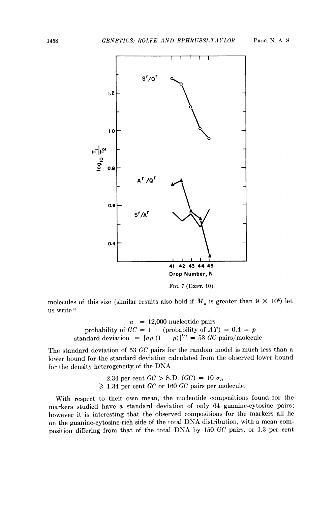

FIG. 7 (EXPT. 10).

molecules of this size (similar results also hold if  $M_n$  is greater than  $9 \times 10^6$ ) let us write<sup>13</sup>

> $n = 12,000$  nucleotide pairs probability of  $GC = 1 - (probability of AT) = 0.4 = p$ standard deviation =  $[np (1 - p)]^{1/2} = 53$  GC pairs/molecule

The standard deviation of <sup>53</sup> GC pairs for the random model is much less than <sup>a</sup> lower bound for the standard deviation calculated from the observed lower bound for the density heterogeneity of the DNA

> 2.34 per cent  $GC > S.D.$   $(GC) = 10 \sigma_D$  $\geq$  1.34 per cent GC or 160 GC pairs per molecule.

With respect to their own mean, the nucleotide compositions found for the markers studied have a standard deviation of only 64 guanine-cytosine pairs; however it is interesting that the observed compositions for the markers all lie on the guanine-cytosine-rich side of the total DNA distribution, with <sup>a</sup> mean composition differing from that of the total DNA by <sup>150</sup> GC pairs, or 1.3 per cent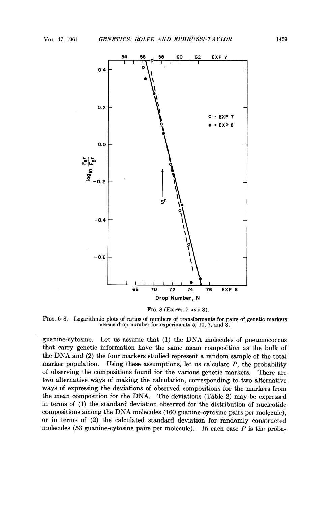

FIG. 8 (ExpTs. 7 AND 8).

FIGS. 6-8.-Logarithmic plots of ratios of numbers of transformants for pairs of genetic markers versus drop number for experiments 5, 10, 7, and 8.

guanine-cytosine. Let us assume that (1) the DNA molecules of pneumococcus that carry genetic information have the same mean composition as the bulk of the DNA and (2) the four markers studied represent <sup>a</sup> random sample of the total marker population. Using these assumptions, let us calculate  $P$ , the probability of observing the compositions found for the various genetic markers. There are two alternative ways of making the calculation, corresponding to two alternative ways of expressing the deviations of observed compositions for the markers from the mean composition for the DNA. The deviations (Table 2) may be expressed in terms of (1) the standard deviation observed for the distribution of nucleotide compositions among the DNA molecules (160 guanine-cytosine pairs per molecule), or in terms of (2) the calculated standard deviation for randomly constructed molecules (53 guanine-cytosine pairs per molecule). In each case  $P$  is the proba-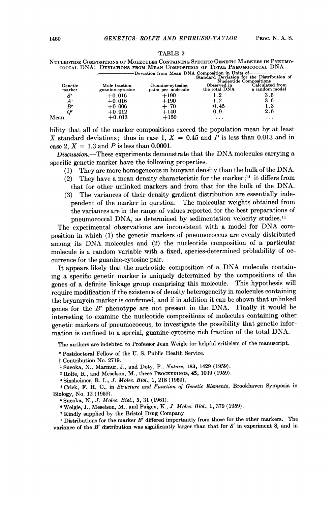|                   |                                                                                                                                   | Nucleotide Compositions of Molecules Containing Specific Genetic Markers in Pneumo-<br>COCCAL DNA; DEVIATIONS FROM MEAN COMPOSITION OF TOTAL PNEUMOCOCCAL DNA |                              |                                   |  |  |  |  |
|-------------------|-----------------------------------------------------------------------------------------------------------------------------------|---------------------------------------------------------------------------------------------------------------------------------------------------------------|------------------------------|-----------------------------------|--|--|--|--|
|                   | -Deviation from Mean DNA Composition in Units of-<br>Standard Deviation for the Distribution of<br><b>Nucleotide Compositions</b> |                                                                                                                                                               |                              |                                   |  |  |  |  |
| Genetic<br>marker | Mole fraction.<br>guanine-cytosine                                                                                                | Guanine-cytosine,<br>pairs per molecule                                                                                                                       | Observed in<br>the total DNA | Calculated from<br>a random model |  |  |  |  |
| $S^r$             | $+0.016$                                                                                                                          | $+190$                                                                                                                                                        | 1.2                          | 3.6                               |  |  |  |  |
| A'                | $+0.016$                                                                                                                          | $+190$                                                                                                                                                        | 1.2                          | 36                                |  |  |  |  |
| $B^r$             | $+0.006$                                                                                                                          | $+70$                                                                                                                                                         | 0.45                         | 1.3                               |  |  |  |  |
|                   | $+0.012$                                                                                                                          | $+140$<br>$\sim$ $\sim$ $\sim$                                                                                                                                | 0.9                          | 2.6                               |  |  |  |  |
|                   | .                                                                                                                                 |                                                                                                                                                               |                              |                                   |  |  |  |  |

TABLE <sup>2</sup>

bility that all of the marker compositions exceed the population mean by at least X standard deviations; thus in case 1,  $X = 0.45$  and P is less than 0.013 and in case 2,  $X = 1.3$  and P is less than 0.0001.

Mean  $+0.013$   $+150$  ... ... ...

Discussion.-These experiments demonstrate that the DNA molecules carrying a specific genetic marker have the following properties.

- (1) They are more homogeneous in buoyant density than the bulk of the DNA.
- (2) They have a mean density characteristic for the marker;<sup>14</sup> it differs from that for other unlinked markers and from that for the bulk of the DNA.
- (3) The variances of their density gradient distribution are essentially independent of the marker in question. The molecular weights obtained from the variances are in the range of values reported for the best preparations of pneumococcal DNA, as determined by sedimentation velocity studies.<sup>11</sup>

The experimental observations are inconsistent with <sup>a</sup> model for DNA composition in which (1) the genetic markers of pneumococcus are evenly distributed among its DNA molecules and (2) the nucleotide composition of <sup>a</sup> particular molecule is a random variable with a fixed, species-determined probability of occurrence for the guanine-cytosine pair.

It appears likely that the nucleotide composition of <sup>a</sup> DNA molecule containing a specific genetic marker is uniquely determined by the compositions of the genes of a definite linkage group comprising this molecule. This hypothesis will require modification if the existence of density heterogeneity in molecules containing the bryamycin marker is confirmed, and if in addition it can be shown that unlinked genes for the  $B^r$  phenotype are not present in the DNA. Finally it would be interesting to examine the nucleotide compositions of molecules containing other genetic markers of pneumococcus, to investigate the possibility that genetic information is confined to <sup>a</sup> special, guanine-cytosine rich fraction of the total DNA.

The authors are indebted to Professor Jean Weigle for helpful criticism of the manuscript.

\* Postdoctoral Fellow of the U. S. Public Health Service.

- t Contribution No. 2719.
- <sup>1</sup> Sueoka, N., Marmur, J., and Doty, P., Nature, 183, 1429 (1959).

<sup>2</sup> Rolfe, R., and Meselson, M., these PROCEEDINGS, 45, 1039 (1959).

<sup>3</sup> Sinsheimer, R. L., J. Molec. Biol., 1, 218 (1959).

<sup>4</sup> Crick, F. H. C., in Structure and Function of Genetic Elements, Brookhaven Symposia in Biology, No. 12 (1959).

<sup>6</sup> Sueoka, N., J. Molec. Biol., 3, 31 (1961).

<sup>6</sup> Weigle, J., Meselson, M., and Paigen, K., J. Molec. Biol., 1, 379 (1959).

<sup>7</sup> Kindly supplied by the Bristol Drug Company.

 $8$  Distributions for the marker  $B<sup>r</sup>$  differed importantly from those for the other markers. The variance of the  $B^r$  distribution was significantly larger than that for  $S^r$  in experiment 8, and in